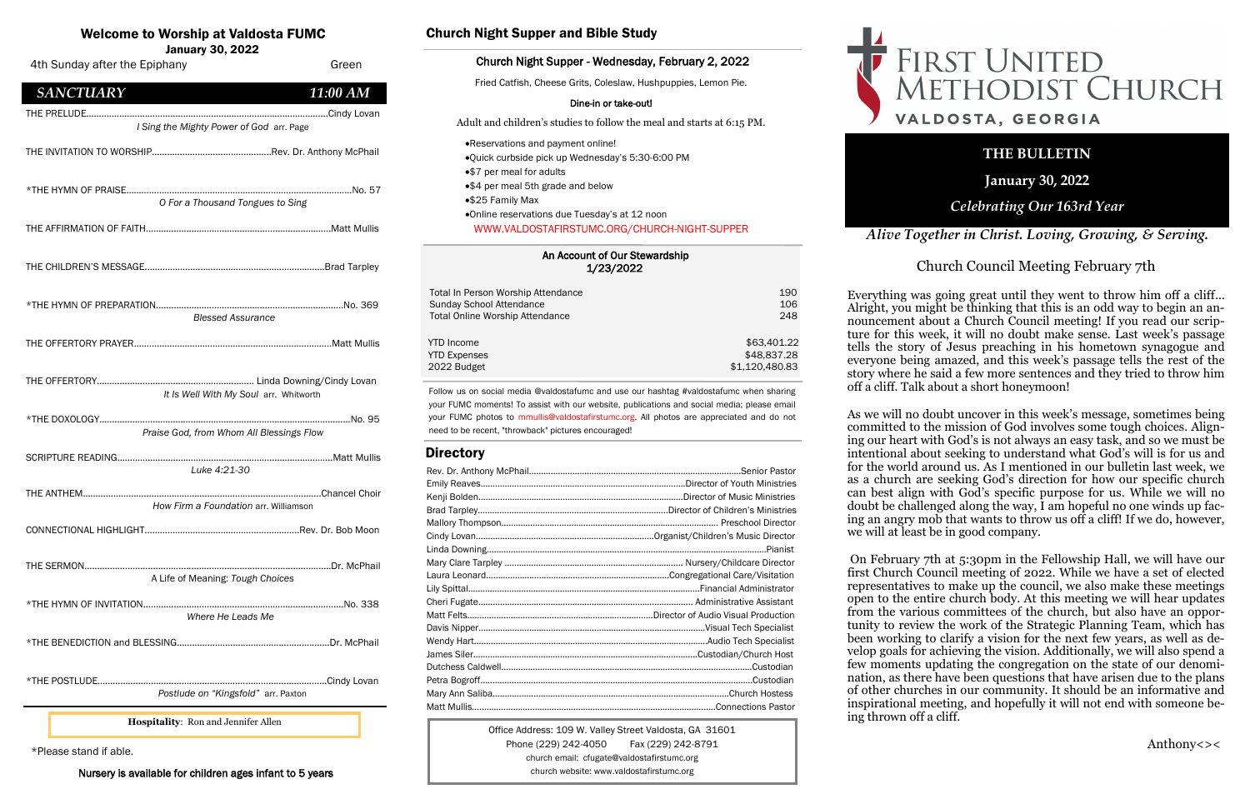| An Account of Our Stewardship |
|-------------------------------|
| 1/23/2022                     |

| Total In Person Worship Attendance     | 190            |
|----------------------------------------|----------------|
| Sunday School Attendance               | 106            |
| <b>Total Online Worship Attendance</b> | 248            |
| <b>YTD</b> Income                      | \$63,401.22    |
| <b>YTD Expenses</b>                    | \$48,837.28    |
| 2022 Budget                            | \$1,120,480.83 |

# Welcome to Worship at Valdosta FUMC

January 30, 2022

Office Address: 109 W. Valley Street Valdosta, GA 31601 Phone (229) 242-4050 Fax (229) 242-8791 church email: cfugate@valdostafirstumc.org church website: www.valdostafirstumc.org





*Alive Together in Christ. Loving, Growing, & Serving.*

# **THE BULLETIN**

**January 30, 2022**

# *Celebrating Our 163rd Year*

Follow us on social media @valdostafumc and use our hashtag #valdostafumc when sharing your FUMC moments! To assist with our website, publications and social media; please email your FUMC photos to mmullis@valdostafirstumc.org. All photos are appreciated and do not need to be recent, "throwback" pictures encouraged!

## **Directory**

# Church Night Supper and Bible Study

#### Church Night Supper - Wednesday, February 2, 2022

Fried Catfish, Cheese Grits, Coleslaw, Hushpuppies, Lemon Pie.

#### Dine-in or take-out!

Adult and children's studies to follow the meal and starts at 6:15 PM.

- •Reservations and payment online!
- •Quick curbside pick up Wednesday's 5:30-6:00 PM
- •\$7 per meal for adults
- •\$4 per meal 5th grade and below
- •\$25 Family Max
- •Online reservations due Tuesday's at 12 noon WWW.VALDOSTAFIRSTUMC.ORG/CHURCH-NIGHT-SUPPER

\*Please stand if able.

Nursery is available for children ages infant to 5 years



Church Council Meeting February 7th

Everything was going great until they went to throw him off a cliff… Alright, you might be thinking that this is an odd way to begin an announcement about a Church Council meeting! If you read our scripture for this week, it will no doubt make sense. Last week's passage tells the story of Jesus preaching in his hometown synagogue and everyone being amazed, and this week's passage tells the rest of the story where he said a few more sentences and they tried to throw him off a cliff. Talk about a short honeymoon!

As we will no doubt uncover in this week's message, sometimes being committed to the mission of God involves some tough choices. Aligning our heart with God's is not always an easy task, and so we must be intentional about seeking to understand what God's will is for us and for the world around us. As I mentioned in our bulletin last week, we as a church are seeking God's direction for how our specific church can best align with God's specific purpose for us. While we will no doubt be challenged along the way,  $\overline{I}$  am hopeful no one winds up facing an angry mob that wants to throw us off a cliff! If we do, however, we will at least be in good company.

On February 7th at 5:30pm in the Fellowship Hall, we will have our first Church Council meeting of 2022. While we have a set of elected representatives to make up the council, we also make these meetings open to the entire church body. At this meeting we will hear updates from the various committees of the church, but also have an opportunity to review the work of the Strategic Planning Team, which has been working to clarify a vision for the next few years, as well as develop goals for achieving the vision. Additionally, we will also spend a few moments updating the congregation on the state of our denomination, as there have been questions that have arisen due to the plans of other churches in our community. It should be an informative and inspirational meeting, and hopefully it will not end with someone be-

ing thrown off a cliff.

# FIRST UNITED<br>METHODIST CHURCH VALDOSTA, GEORGIA

Anthony<><